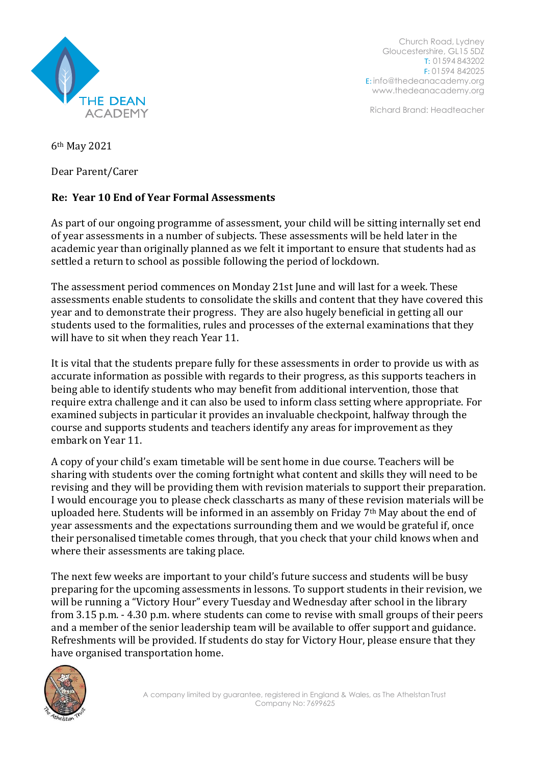

Church Road, Lydney Gloucestershire, GL15 5DZ T: 01594 843202 F: 01594 842025 E: [info@thedeanacademy.org](mailto:info@thedeanacademy.org) [www.thedeanacademy.org](http://www.thedeanacademy.org/)

Richard Brand: Headteacher

6th May 2021

Dear Parent/Carer

## **Re: Year 10 End of Year Formal Assessments**

As part of our ongoing programme of assessment, your child will be sitting internally set end of year assessments in a number of subjects. These assessments will be held later in the academic year than originally planned as we felt it important to ensure that students had as settled a return to school as possible following the period of lockdown.

The assessment period commences on Monday 21st June and will last for a week. These assessments enable students to consolidate the skills and content that they have covered this year and to demonstrate their progress. They are also hugely beneficial in getting all our students used to the formalities, rules and processes of the external examinations that they will have to sit when they reach Year 11.

It is vital that the students prepare fully for these assessments in order to provide us with as accurate information as possible with regards to their progress, as this supports teachers in being able to identify students who may benefit from additional intervention, those that require extra challenge and it can also be used to inform class setting where appropriate. For examined subjects in particular it provides an invaluable checkpoint, halfway through the course and supports students and teachers identify any areas for improvement as they embark on Year 11.

A copy of your child's exam timetable will be sent home in due course. Teachers will be sharing with students over the coming fortnight what content and skills they will need to be revising and they will be providing them with revision materials to support their preparation. I would encourage you to please check classcharts as many of these revision materials will be uploaded here. Students will be informed in an assembly on Friday 7<sup>th</sup> May about the end of year assessments and the expectations surrounding them and we would be grateful if, once their personalised timetable comes through, that you check that your child knows when and where their assessments are taking place.

The next few weeks are important to your child's future success and students will be busy preparing for the upcoming assessments in lessons. To support students in their revision, we will be running a "Victory Hour" every Tuesday and Wednesday after school in the library from 3.15 p.m. - 4.30 p.m. where students can come to revise with small groups of their peers and a member of the senior leadership team will be available to offer support and guidance. Refreshments will be provided. If students do stay for Victory Hour, please ensure that they have organised transportation home.